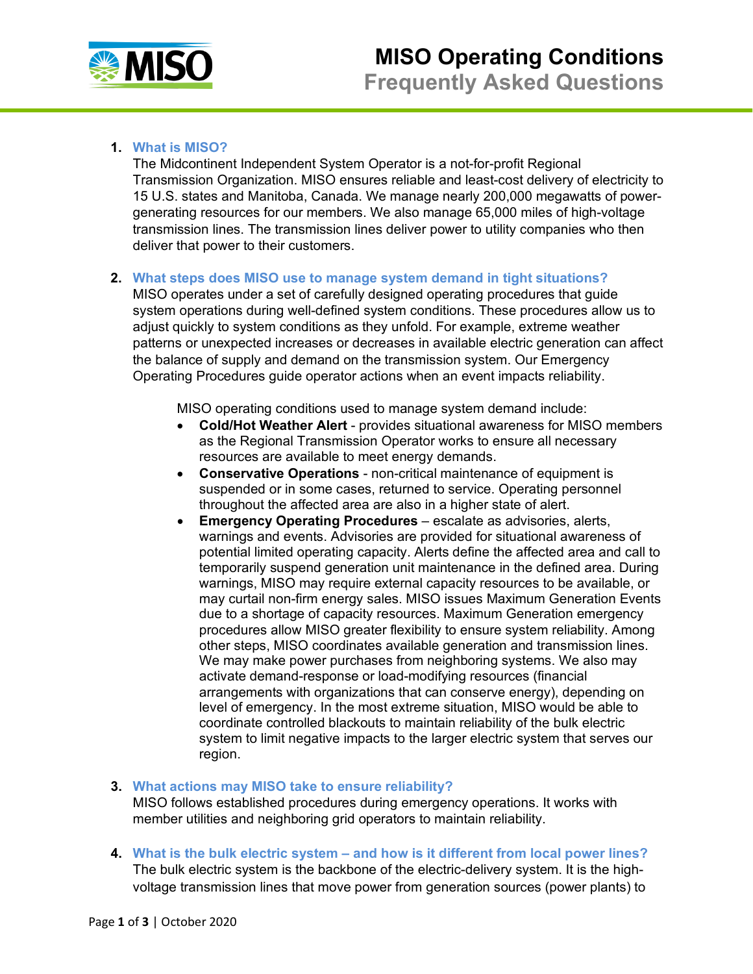

## **1. What is MISO?**

The Midcontinent Independent System Operator is a not-for-profit Regional Transmission Organization. MISO ensures reliable and least-cost delivery of electricity to 15 U.S. states and Manitoba, Canada. We manage nearly 200,000 megawatts of powergenerating resources for our members. We also manage 65,000 miles of high-voltage transmission lines. The transmission lines deliver power to utility companies who then deliver that power to their customers.

### **2. What steps does MISO use to manage system demand in tight situations?**

MISO operates under a set of carefully designed operating procedures that guide system operations during well-defined system conditions. These procedures allow us to adjust quickly to system conditions as they unfold. For example, extreme weather patterns or unexpected increases or decreases in available electric generation can affect the balance of supply and demand on the transmission system. Our Emergency Operating Procedures guide operator actions when an event impacts reliability.

MISO operating conditions used to manage system demand include:

- **Cold/Hot Weather Alert** provides situational awareness for MISO members as the Regional Transmission Operator works to ensure all necessary resources are available to meet energy demands.
- **Conservative Operations**  non-critical maintenance of equipment is suspended or in some cases, returned to service. Operating personnel throughout the affected area are also in a higher state of alert.
- **Emergency Operating Procedures** escalate as advisories, alerts, warnings and events. Advisories are provided for situational awareness of potential limited operating capacity. Alerts define the affected area and call to temporarily suspend generation unit maintenance in the defined area. During warnings, MISO may require external capacity resources to be available, or may curtail non-firm energy sales. MISO issues Maximum Generation Events due to a shortage of capacity resources. Maximum Generation emergency procedures allow MISO greater flexibility to ensure system reliability. Among other steps, MISO coordinates available generation and transmission lines. We may make power purchases from neighboring systems. We also may activate demand-response or load-modifying resources (financial arrangements with organizations that can conserve energy), depending on level of emergency. In the most extreme situation, MISO would be able to coordinate controlled blackouts to maintain reliability of the bulk electric system to limit negative impacts to the larger electric system that serves our region.

#### **3. What actions may MISO take to ensure reliability?**

MISO follows established procedures during emergency operations. It works with member utilities and neighboring grid operators to maintain reliability.

**4. What is the bulk electric system – and how is it different from local power lines?** The bulk electric system is the backbone of the electric-delivery system. It is the highvoltage transmission lines that move power from generation sources (power plants) to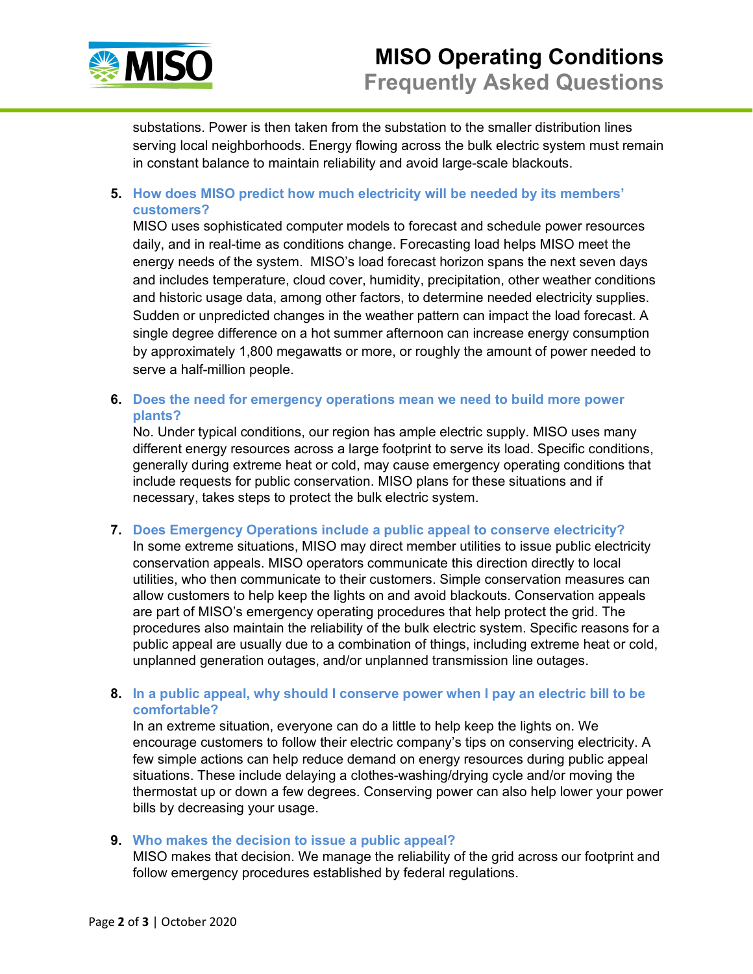

substations. Power is then taken from the substation to the smaller distribution lines serving local neighborhoods. Energy flowing across the bulk electric system must remain in constant balance to maintain reliability and avoid large-scale blackouts.

**5. How does MISO predict how much electricity will be needed by its members' customers?**

MISO uses sophisticated computer models to forecast and schedule power resources daily, and in real-time as conditions change. Forecasting load helps MISO meet the energy needs of the system. MISO's load forecast horizon spans the next seven days and includes temperature, cloud cover, humidity, precipitation, other weather conditions and historic usage data, among other factors, to determine needed electricity supplies. Sudden or unpredicted changes in the weather pattern can impact the load forecast. A single degree difference on a hot summer afternoon can increase energy consumption by approximately 1,800 megawatts or more, or roughly the amount of power needed to serve a half-million people.

**6. Does the need for emergency operations mean we need to build more power plants?** 

No. Under typical conditions, our region has ample electric supply. MISO uses many different energy resources across a large footprint to serve its load. Specific conditions, generally during extreme heat or cold, may cause emergency operating conditions that include requests for public conservation. MISO plans for these situations and if necessary, takes steps to protect the bulk electric system.

**7. Does Emergency Operations include a public appeal to conserve electricity?**

In some extreme situations, MISO may direct member utilities to issue public electricity conservation appeals. MISO operators communicate this direction directly to local utilities, who then communicate to their customers. Simple conservation measures can allow customers to help keep the lights on and avoid blackouts. Conservation appeals are part of MISO's emergency operating procedures that help protect the grid. The procedures also maintain the reliability of the bulk electric system. Specific reasons for a public appeal are usually due to a combination of things, including extreme heat or cold, unplanned generation outages, and/or unplanned transmission line outages.

**8. In a public appeal, why should I conserve power when I pay an electric bill to be comfortable?**

In an extreme situation, everyone can do a little to help keep the lights on. We encourage customers to follow their electric company's tips on conserving electricity. A few simple actions can help reduce demand on energy resources during public appeal situations. These include delaying a clothes-washing/drying cycle and/or moving the thermostat up or down a few degrees. Conserving power can also help lower your power bills by decreasing your usage.

#### **9. Who makes the decision to issue a public appeal?**

MISO makes that decision. We manage the reliability of the grid across our footprint and follow emergency procedures established by federal regulations.